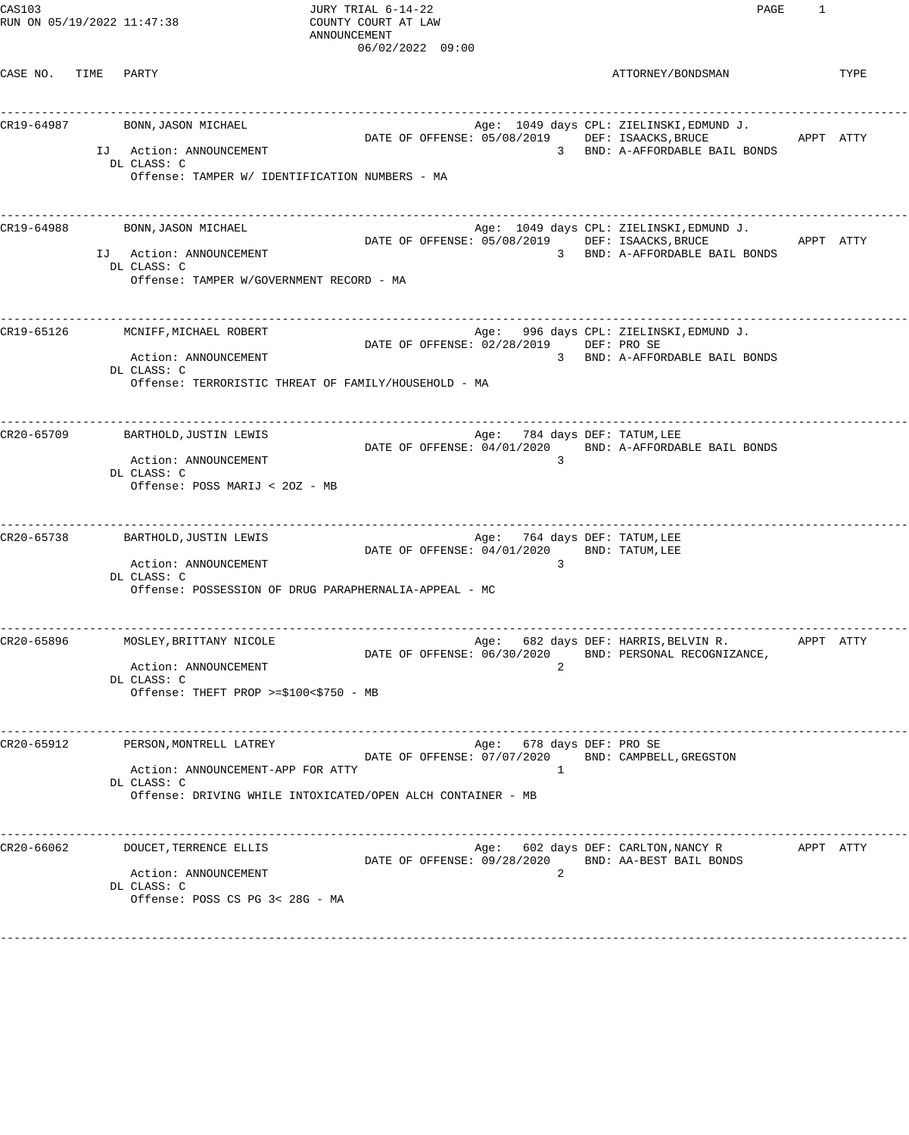CAS103<br>
COUNTY COURT AT LAW TRIAL 6-14-22<br>
COUNTY COURT AT LAW COURT AT LAW RUN ON  $05/19/2022$   $11:47:38$ 

ANNOUNCEMENT 06/02/2022 09:00

CASE NO. TIME PARTY **ATTORNEY/BONDSMAN** TYPE ------------------------------------------------------------------------------------------------------------------------------------ CR19-64987 BONN,JASON MICHAEL Age: 1049 days CPL: ZIELINSKI,EDMUND J. DATE OF OFFENSE: 05/08/2019 DEF: ISAACKS, BRUCE APPT ATTY IJ Action: ANNOUNCEMENT 3 BND: A-AFFORDABLE BAIL BONDS DL CLASS: C Offense: TAMPER W/ IDENTIFICATION NUMBERS - MA ------------------------------------------------------------------------------------------------------------------------------------ CR19-64988 BONN,JASON MICHAEL Age: 1049 days CPL: ZIELINSKI,EDMUND J. DATE OF OFFENSE: 05/08/2019 DEF: ISAACKS, BRUCE APPT ATTY IJ Action: ANNOUNCEMENT 3 BND: A-AFFORDABLE BAIL BONDS DL CLASS: C Offense: TAMPER W/GOVERNMENT RECORD - MA ------------------------------------------------------------------------------------------------------------------------------------ CR19-65126 MCNIFF, MICHAEL ROBERT And Some age: 996 days CPL: ZIELINSKI, EDMUND J. DATE OF OFFENSE: 02/28/2019 DEF: PRO SE Action: ANNOUNCEMENT 3 BND: A-AFFORDABLE BAIL BONDS DL CLASS: C Offense: TERRORISTIC THREAT OF FAMILY/HOUSEHOLD - MA ------------------------------------------------------------------------------------------------------------------------------------ BARTHOLD,JUSTIN LEWIS **Example 2008** BARTHOLD,JUSTIN LEWIS DATE OF OFFENSE: 04/01/2020 BND: A-AFFORDABLE BAIL BONDS Action: ANNOUNCEMENT 3 DL CLASS: C Offense: POSS MARIJ < 2OZ - MB ------------------------------------------------------------------------------------------------------------------------------------ CR20-65738 BARTHOLD,JUSTIN LEWIS Age: 764 days DEF: TATUM, LEE DATE OF OFFENSE:  $04/01/2020$  BND: TATUM, LEE Action: ANNOUNCEMENT DL CLASS: C Offense: POSSESSION OF DRUG PARAPHERNALIA-APPEAL - MC ------------------------------------------------------------------------------------------------------------------------------------ Age: 682 days DEF: HARRIS,BELVIN R. APPT ATTY DATE OF OFFENSE: 06/30/2020 BND: PERSONAL RECOGNIZANCE, Action: ANNOUNCEMENT 2 DL CLASS: C Offense: THEFT PROP >=\$100<\$750 - MB ------------------------------------------------------------------------------------------------------------------------------------ CR20-65912 PERSON, MONTRELL LATREY **Age:** 678 days DEF: PRO SE DATE OF OFFENSE: 07/07/2020 BND: CAMPBELL,GREGSTON Action: ANNOUNCEMENT-APP FOR ATTY 1 DL CLASS: C Offense: DRIVING WHILE INTOXICATED/OPEN ALCH CONTAINER - MB ------------------------------------------------------------------------------------------------------------------------------------ CR20-66062 DOUCET,TERRENCE ELLIS Age: 602 days DEF: CARLTON,NANCY R APPT ATTY DATE OF OFFENSE: 09/28/2020 BND: AA-BEST BAIL BONDS Action: ANNOUNCEMENT 2 DL CLASS: C Offense: POSS CS PG 3< 28G - MA ------------------------------------------------------------------------------------------------------------------------------------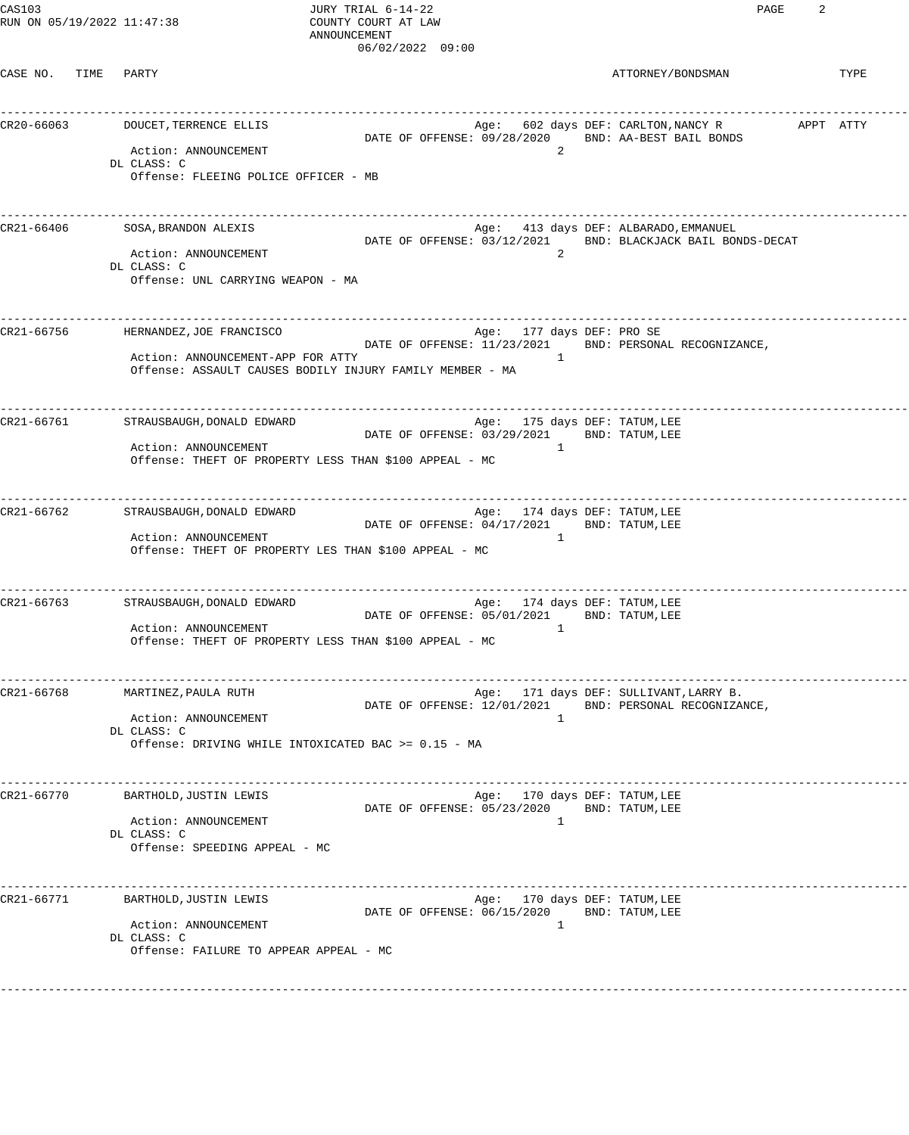CASE NO. TIME PARTY **ATTORNEY/BONDSMAN** TYPE

------------------------------------------------------------------------------------------------------------------------------------ CR20-66063 DOUCET,TERRENCE ELLIS Age: 602 days DEF: CARLTON,NANCY R APPT ATTY DATE OF OFFENSE: 09/28/2020 BND: AA-BEST BAIL BONDS Action: ANNOUNCEMENT 2 DL CLASS: C Offense: FLEEING POLICE OFFICER - MB ------------------------------------------------------------------------------------------------------------------------------------ CR21-66406 SOSA,BRANDON ALEXIS SAGA SAGA SAGA Age: 413 days DEF: ALBARADO,EMMANUEL DATE OF OFFENSE: 03/12/2021 BND: BLACKJACK BAIL BONDS-DECAT Action: ANNOUNCEMENT 2 DL CLASS: C Offense: UNL CARRYING WEAPON - MA ------------------------------------------------------------------------------------------------------------------------------------ CR21-66756 HERNANDEZ,JOE FRANCISCO Age: 177 days DEF: PRO SE DATE OF OFFENSE: 11/23/2021 BND: PERSONAL RECOGNIZANCE, Action: ANNOUNCEMENT-APP FOR ATTY 1 Offense: ASSAULT CAUSES BODILY INJURY FAMILY MEMBER - MA ------------------------------------------------------------------------------------------------------------------------------------ CR21-66761 STRAUSBAUGH,DONALD EDWARD STRAUSS Age: 175 days DEF: TATUM,LEE DATE OF OFFENSE: 03/29/2021 BND: TATUM, LEE Action: ANNOUNCEMENT<br>
Offense: TUEET OF PROPERT Offense: THEFT OF PROPERTY LESS THAN \$100 APPEAL - MC ------------------------------------------------------------------------------------------------------------------------------------ CR21-66762 STRAUSBAUGH,DONALD EDWARD Age: 174 days DEF: TATUM,LEE DATE OF OFFENSE: 04/17/2021 BND: TATUM, LEE Action: ANNOUNCEMENT 1 Offense: THEFT OF PROPERTY LES THAN \$100 APPEAL - MC ------------------------------------------------------------------------------------------------------------------------------------ CR21-66763 STRAUSBAUGH,DONALD EDWARD Age: 174 days DEF: TATUM,LEE DATE OF OFFENSE: 05/01/2021 BND: TATUM, LEE Action: ANNOUNCEMENT Offense: THEFT OF PROPERTY LESS THAN \$100 APPEAL - MC ------------------------------------------------------------------------------------------------------------------------------------ Age: 171 days DEF: SULLIVANT, LARRY B. DATE OF OFFENSE: 12/01/2021 BND: PERSONAL RECOGNIZANCE, Action: ANNOUNCEMENT DL CLASS: C Offense: DRIVING WHILE INTOXICATED BAC >= 0.15 - MA ------------------------------------------------------------------------------------------------------------------------------------ CR21-66770 BARTHOLD, JUSTIN LEWIS DATE OF OFFENSE: 05/23/2020 BND: TATUM,LEE Action: ANNOUNCEMENT 1 DL CLASS: C Offense: SPEEDING APPEAL - MC ------------------------------------------------------------------------------------------------------------------------------------ CR21-66771 BARTHOLD,JUSTIN LEWIS CR21-66771 BERT: TATUM,LEE DATE OF OFFENSE: 06/15/2020 BND: TATUM,LEE Action: ANNOUNCEMENT 1 DL CLASS: C Offense: FAILURE TO APPEAR APPEAL - MC ------------------------------------------------------------------------------------------------------------------------------------